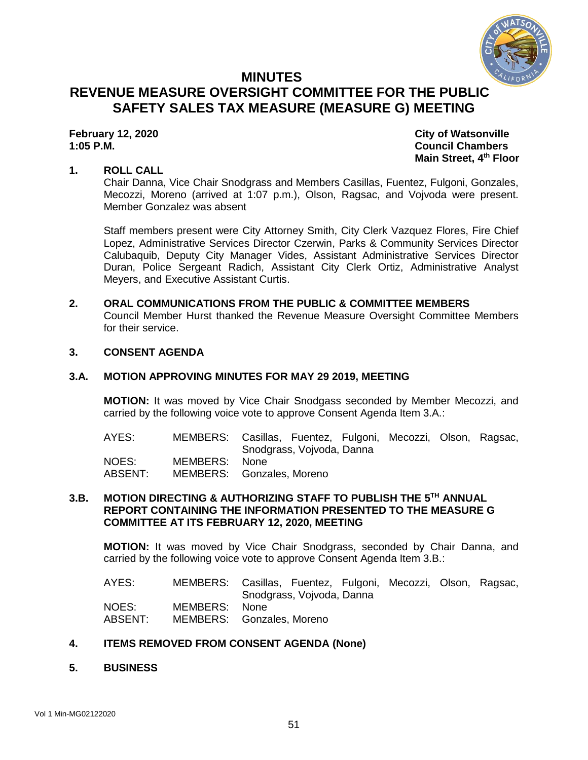

# **MINUTES REVENUE MEASURE OVERSIGHT COMMITTEE FOR THE PUBLIC SAFETY SALES TAX MEASURE (MEASURE G) MEETING**

**February 12, 2020 City of Watsonville 1:05 P.M. Council Chambers Main Street, 4th Floor**

# **1. ROLL CALL**

Chair Danna, Vice Chair Snodgrass and Members Casillas, Fuentez, Fulgoni, Gonzales, Mecozzi, Moreno (arrived at 1:07 p.m.), Olson, Ragsac, and Vojvoda were present. Member Gonzalez was absent

Staff members present were City Attorney Smith, City Clerk Vazquez Flores, Fire Chief Lopez, Administrative Services Director Czerwin, Parks & Community Services Director Calubaquib, Deputy City Manager Vides, Assistant Administrative Services Director Duran, Police Sergeant Radich, Assistant City Clerk Ortiz, Administrative Analyst Meyers, and Executive Assistant Curtis.

# **2. ORAL COMMUNICATIONS FROM THE PUBLIC & COMMITTEE MEMBERS**

Council Member Hurst thanked the Revenue Measure Oversight Committee Members for their service.

### **3. CONSENT AGENDA**

### **3.A. MOTION APPROVING MINUTES FOR MAY 29 2019, MEETING**

**MOTION:** It was moved by Vice Chair Snodgass seconded by Member Mecozzi, and carried by the following voice vote to approve Consent Agenda Item 3.A.:

| AYES:   |               | MEMBERS: Casillas, Fuentez, Fulgoni, Mecozzi, Olson, Ragsac, |  |  |
|---------|---------------|--------------------------------------------------------------|--|--|
|         |               | Snodgrass, Vojvoda, Danna                                    |  |  |
| NOES:   | MEMBERS: None |                                                              |  |  |
| ABSENT: |               | MEMBERS: Gonzales, Moreno                                    |  |  |

# **3.B. MOTION DIRECTING & AUTHORIZING STAFF TO PUBLISH THE 5 TH ANNUAL REPORT CONTAINING THE INFORMATION PRESENTED TO THE MEASURE G COMMITTEE AT ITS FEBRUARY 12, 2020, MEETING**

**MOTION:** It was moved by Vice Chair Snodgrass, seconded by Chair Danna, and carried by the following voice vote to approve Consent Agenda Item 3.B.:

AYES: MEMBERS: Casillas, Fuentez, Fulgoni, Mecozzi, Olson, Ragsac, Snodgrass, Vojvoda, Danna NOES: MEMBERS: None ABSENT: MEMBERS: Gonzales, Moreno

### **4. ITEMS REMOVED FROM CONSENT AGENDA (None)**

**5. BUSINESS**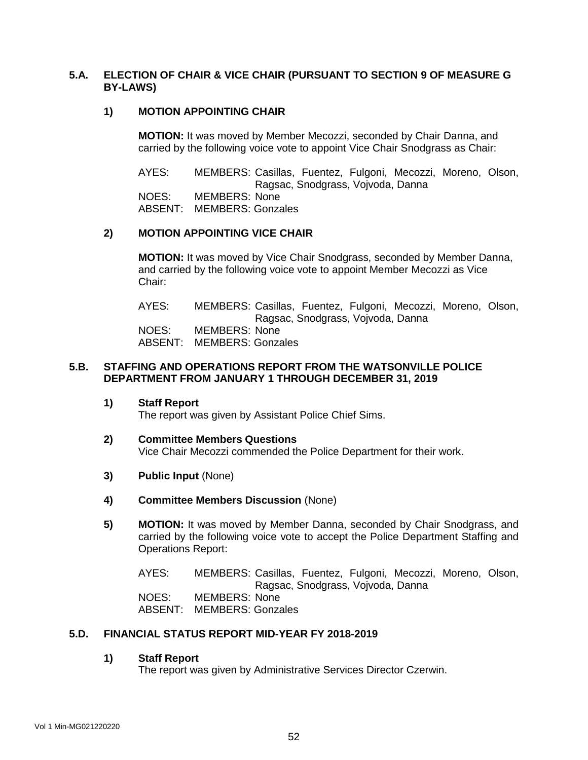# **5.A. ELECTION OF CHAIR & VICE CHAIR (PURSUANT TO SECTION 9 OF MEASURE G BY-LAWS)**

# **1) MOTION APPOINTING CHAIR**

**MOTION:** It was moved by Member Mecozzi, seconded by Chair Danna, and carried by the following voice vote to appoint Vice Chair Snodgrass as Chair:

AYES: MEMBERS: Casillas, Fuentez, Fulgoni, Mecozzi, Moreno, Olson, Ragsac, Snodgrass, Vojvoda, Danna

NOES: MEMBERS: None

ABSENT: MEMBERS: Gonzales

# **2) MOTION APPOINTING VICE CHAIR**

**MOTION:** It was moved by Vice Chair Snodgrass, seconded by Member Danna, and carried by the following voice vote to appoint Member Mecozzi as Vice Chair:

AYES: MEMBERS: Casillas, Fuentez, Fulgoni, Mecozzi, Moreno, Olson, Ragsac, Snodgrass, Vojvoda, Danna NOES: MEMBERS: None

ABSENT: MEMBERS: Gonzales

# **5.B. STAFFING AND OPERATIONS REPORT FROM THE WATSONVILLE POLICE DEPARTMENT FROM JANUARY 1 THROUGH DECEMBER 31, 2019**

**1) Staff Report**

The report was given by Assistant Police Chief Sims.

#### **2) Committee Members Questions** Vice Chair Mecozzi commended the Police Department for their work.

- **3) Public Input** (None)
- **4) Committee Members Discussion** (None)
- **5) MOTION:** It was moved by Member Danna, seconded by Chair Snodgrass, and carried by the following voice vote to accept the Police Department Staffing and Operations Report:

AYES: MEMBERS: Casillas, Fuentez, Fulgoni, Mecozzi, Moreno, Olson, Ragsac, Snodgrass, Vojvoda, Danna NOES: MEMBERS: None ABSENT: MEMBERS: Gonzales

#### **5.D. FINANCIAL STATUS REPORT MID-YEAR FY 2018-2019**

#### **1) Staff Report**

The report was given by Administrative Services Director Czerwin.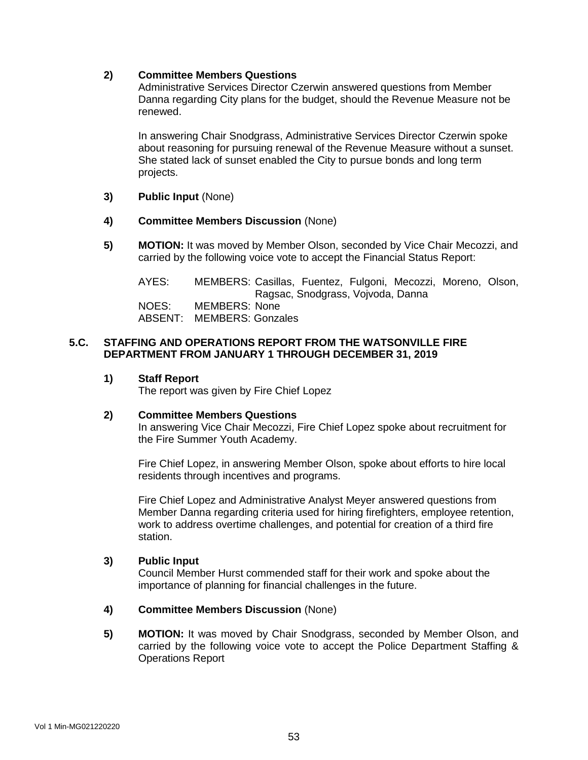# **2) Committee Members Questions**

Administrative Services Director Czerwin answered questions from Member Danna regarding City plans for the budget, should the Revenue Measure not be renewed.

In answering Chair Snodgrass, Administrative Services Director Czerwin spoke about reasoning for pursuing renewal of the Revenue Measure without a sunset. She stated lack of sunset enabled the City to pursue bonds and long term projects.

- **3) Public Input** (None)
- **4) Committee Members Discussion** (None)
- **5) MOTION:** It was moved by Member Olson, seconded by Vice Chair Mecozzi, and carried by the following voice vote to accept the Financial Status Report:

AYES: MEMBERS: Casillas, Fuentez, Fulgoni, Mecozzi, Moreno, Olson, Ragsac, Snodgrass, Vojvoda, Danna NOES: MEMBERS: None ABSENT: MEMBERS: Gonzales

# **5.C. STAFFING AND OPERATIONS REPORT FROM THE WATSONVILLE FIRE DEPARTMENT FROM JANUARY 1 THROUGH DECEMBER 31, 2019**

# **1) Staff Report**

The report was given by Fire Chief Lopez

### **2) Committee Members Questions**

In answering Vice Chair Mecozzi, Fire Chief Lopez spoke about recruitment for the Fire Summer Youth Academy.

Fire Chief Lopez, in answering Member Olson, spoke about efforts to hire local residents through incentives and programs.

Fire Chief Lopez and Administrative Analyst Meyer answered questions from Member Danna regarding criteria used for hiring firefighters, employee retention, work to address overtime challenges, and potential for creation of a third fire station.

### **3) Public Input**

Council Member Hurst commended staff for their work and spoke about the importance of planning for financial challenges in the future.

### **4) Committee Members Discussion** (None)

**5) MOTION:** It was moved by Chair Snodgrass, seconded by Member Olson, and carried by the following voice vote to accept the Police Department Staffing & Operations Report